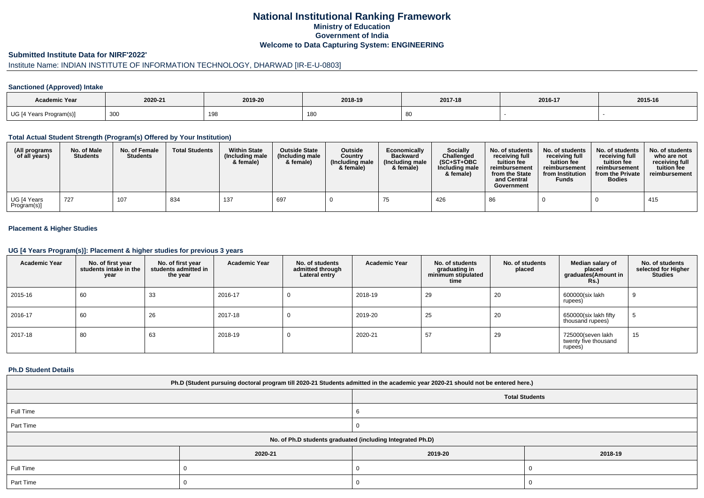# **National Institutional Ranking FrameworkMinistry of Education Government of IndiaWelcome to Data Capturing System: ENGINEERING**

### **Submitted Institute Data for NIRF'2022'**

# Institute Name: INDIAN INSTITUTE OF INFORMATION TECHNOLOGY, DHARWAD [IR-E-U-0803]

### **Sanctioned (Approved) Intake**

| Academic Year                          |         |         |              |         |         |         |
|----------------------------------------|---------|---------|--------------|---------|---------|---------|
|                                        | 2020-21 | 2019-20 | 2018-19      | 2017-18 | 2016-17 | 2015-16 |
| UG [4 Years<br>Program(s) <sub>I</sub> | 300     | 198     | 180<br>1 U J |         |         |         |

#### **Total Actual Student Strength (Program(s) Offered by Your Institution)**

| (All programs<br>of all years) | No. of Male<br><b>Students</b> | No. of Female<br><b>Students</b> | <b>Total Students</b> | <b>Within State</b><br>(Including male<br>& female) | <b>Outside State</b><br>(Including male<br>& female) | <b>Outside</b><br>Country<br>(Including male<br>& female) | Economically<br><b>Backward</b><br>(Including male<br>& female) | <b>Socially</b><br>Challenged<br>$(SC+ST+OBC$<br>Including male<br>& female) | No. of students<br>receiving full<br>tuition fee<br>reimbursement<br>from the State<br>and Central<br>Government | No. of students<br>receiving full<br>tuition fee<br>reimbursement<br>from Institution<br><b>Funds</b> | No. of students<br>receiving full<br>tuition fee<br>reimbursement<br>from the Private<br><b>Bodies</b> | No. of students<br>who are not<br>receiving full<br>tuition fee<br>reimbursement |
|--------------------------------|--------------------------------|----------------------------------|-----------------------|-----------------------------------------------------|------------------------------------------------------|-----------------------------------------------------------|-----------------------------------------------------------------|------------------------------------------------------------------------------|------------------------------------------------------------------------------------------------------------------|-------------------------------------------------------------------------------------------------------|--------------------------------------------------------------------------------------------------------|----------------------------------------------------------------------------------|
| UG [4 Years<br>Program(s)]     | 727                            | 107                              | 834                   | 137                                                 | , 697                                                |                                                           |                                                                 | 426                                                                          | 86                                                                                                               |                                                                                                       |                                                                                                        | 415                                                                              |

### **Placement & Higher Studies**

#### **UG [4 Years Program(s)]: Placement & higher studies for previous 3 years**

| <b>Academic Year</b> | No. of first year<br>students intake in the<br>year | No. of first year<br>students admitted in<br>the year | <b>Academic Year</b> | No. of students<br>admitted through<br>Lateral entry | <b>Academic Year</b> | No. of students<br>graduating in<br>minimum stipulated<br>time | No. of students<br>placed | Median salary of<br>placed<br>graduates(Amount in<br><b>Rs.)</b> | No. of students<br>selected for Higher<br><b>Studies</b> |
|----------------------|-----------------------------------------------------|-------------------------------------------------------|----------------------|------------------------------------------------------|----------------------|----------------------------------------------------------------|---------------------------|------------------------------------------------------------------|----------------------------------------------------------|
| 2015-16              | 60                                                  | 33                                                    | 2016-17              | v                                                    | 2018-19              | 29                                                             | 20                        | 600000(six lakh<br>rupees)                                       | 9                                                        |
| 2016-17              | 60                                                  | 26                                                    | 2017-18              | 0                                                    | 2019-20              | 25                                                             | 20                        | 650000(six lakh fifty<br>thousand rupees)                        | 5                                                        |
| 2017-18              | 80                                                  | 63                                                    | 2018-19              | 0                                                    | 2020-21              | 57                                                             | 29                        | 725000(seven lakh<br>twenty five thousand<br>rupees)             | 15                                                       |

#### **Ph.D Student Details**

| Ph.D (Student pursuing doctoral program till 2020-21 Students admitted in the academic year 2020-21 should not be entered here.) |                                                            |         |         |  |  |  |  |
|----------------------------------------------------------------------------------------------------------------------------------|------------------------------------------------------------|---------|---------|--|--|--|--|
| <b>Total Students</b>                                                                                                            |                                                            |         |         |  |  |  |  |
| Full Time                                                                                                                        |                                                            |         |         |  |  |  |  |
| Part Time                                                                                                                        |                                                            |         |         |  |  |  |  |
|                                                                                                                                  | No. of Ph.D students graduated (including Integrated Ph.D) |         |         |  |  |  |  |
|                                                                                                                                  | 2020-21                                                    | 2019-20 | 2018-19 |  |  |  |  |
| Full Time                                                                                                                        |                                                            |         |         |  |  |  |  |
| Part Time                                                                                                                        |                                                            |         |         |  |  |  |  |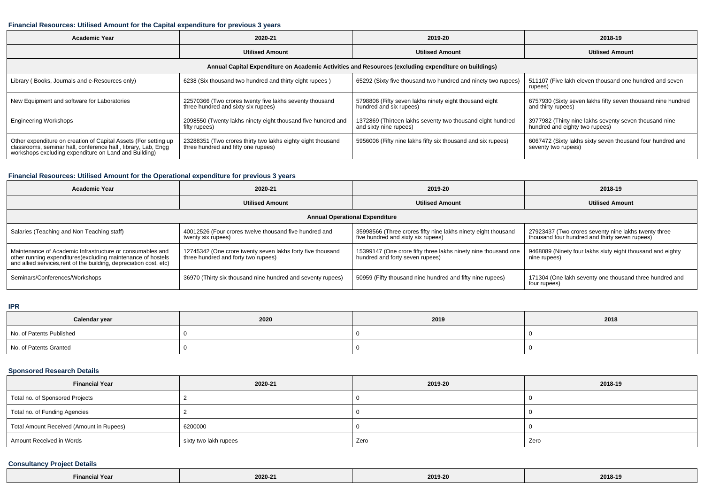### **Financial Resources: Utilised Amount for the Capital expenditure for previous 3 years**

| <b>Academic Year</b>                                                                                                                                                                      | 2020-21                                                                                            | 2019-20                                                                              | 2018-19                                                                                  |  |  |  |  |  |  |
|-------------------------------------------------------------------------------------------------------------------------------------------------------------------------------------------|----------------------------------------------------------------------------------------------------|--------------------------------------------------------------------------------------|------------------------------------------------------------------------------------------|--|--|--|--|--|--|
|                                                                                                                                                                                           | <b>Utilised Amount</b>                                                                             | <b>Utilised Amount</b>                                                               | <b>Utilised Amount</b>                                                                   |  |  |  |  |  |  |
| Annual Capital Expenditure on Academic Activities and Resources (excluding expenditure on buildings)                                                                                      |                                                                                                    |                                                                                      |                                                                                          |  |  |  |  |  |  |
| Library (Books, Journals and e-Resources only)                                                                                                                                            | 6238 (Six thousand two hundred and thirty eight rupees)                                            | 65292 (Sixty five thousand two hundred and ninety two rupees)                        | 511107 (Five lakh eleven thousand one hundred and seven<br>rupees)                       |  |  |  |  |  |  |
| New Equipment and software for Laboratories                                                                                                                                               | 22570366 (Two crores twenty five lakhs seventy thousand<br>three hundred and sixty six rupees)     | 5798806 (Fifty seven lakhs ninety eight thousand eight<br>hundred and six rupees)    | 6757930 (Sixty seven lakhs fifty seven thousand nine hundred<br>and thirty rupees)       |  |  |  |  |  |  |
| <b>Engineering Workshops</b>                                                                                                                                                              | 2098550 (Twenty lakhs ninety eight thousand five hundred and<br>fifty rupees)                      | 1372869 (Thirteen lakhs seventy two thousand eight hundred<br>and sixty nine rupees) | 3977982 (Thirty nine lakhs seventy seven thousand nine<br>hundred and eighty two rupees) |  |  |  |  |  |  |
| Other expenditure on creation of Capital Assets (For setting up<br>classrooms, seminar hall, conference hall, library, Lab, Engg<br>workshops excluding expenditure on Land and Building) | 23288351 (Two crores thirty two lakhs eighty eight thousand<br>three hundred and fifty one rupees) | 5956006 (Fifty nine lakhs fifty six thousand and six rupees)                         | 6067472 (Sixty lakhs sixty seven thousand four hundred and<br>seventy two rupees)        |  |  |  |  |  |  |

## **Financial Resources: Utilised Amount for the Operational expenditure for previous 3 years**

| <b>Academic Year</b>                                                                                                                                                                           | 2020-21<br>2019-20                                                                                |                                                                                                     | 2018-19                                                                                                |  |  |  |  |  |  |
|------------------------------------------------------------------------------------------------------------------------------------------------------------------------------------------------|---------------------------------------------------------------------------------------------------|-----------------------------------------------------------------------------------------------------|--------------------------------------------------------------------------------------------------------|--|--|--|--|--|--|
|                                                                                                                                                                                                | <b>Utilised Amount</b>                                                                            | <b>Utilised Amount</b>                                                                              | <b>Utilised Amount</b>                                                                                 |  |  |  |  |  |  |
| <b>Annual Operational Expenditure</b>                                                                                                                                                          |                                                                                                   |                                                                                                     |                                                                                                        |  |  |  |  |  |  |
| Salaries (Teaching and Non Teaching staff)                                                                                                                                                     | 40012526 (Four crores twelve thousand five hundred and<br>twenty six rupees)                      | 35998566 (Three crores fifty nine lakhs ninety eight thousand<br>five hundred and sixty six rupees) | 27923437 (Two crores seventy nine lakhs twenty three<br>thousand four hundred and thirty seven rupees) |  |  |  |  |  |  |
| Maintenance of Academic Infrastructure or consumables and<br>other running expenditures(excluding maintenance of hostels<br>and allied services, rent of the building, depreciation cost, etc) | 12745342 (One crore twenty seven lakhs forty five thousand<br>three hundred and forty two rupees) | 15399147 (One crore fifty three lakhs ninety nine thousand one<br>hundred and forty seven rupees)   | 9468089 (Ninety four lakhs sixty eight thousand and eighty<br>nine rupees)                             |  |  |  |  |  |  |
| Seminars/Conferences/Workshops                                                                                                                                                                 | 36970 (Thirty six thousand nine hundred and seventy rupees)                                       | 50959 (Fifty thousand nine hundred and fifty nine rupees)                                           | 171304 (One lakh seventy one thousand three hundred and<br>four rupees)                                |  |  |  |  |  |  |

#### **IPR**

| Calendar year            | 2020 | 2019 | 2018 |
|--------------------------|------|------|------|
| No. of Patents Published |      |      |      |
| No. of Patents Granted   |      |      |      |

## **Sponsored Research Details**

| <b>Financial Year</b>                    | 2020-21               | 2019-20 | 2018-19 |
|------------------------------------------|-----------------------|---------|---------|
| Total no. of Sponsored Projects          |                       |         |         |
| Total no. of Funding Agencies            |                       |         |         |
| Total Amount Received (Amount in Rupees) | 6200000               |         |         |
| Amount Received in Words                 | sixty two lakh rupees | Zero    | Zero    |

## **Consultancy Project Details**

| l Year<br>Financia | 2020-2<br>$- - - - -$ | 2019-20 | 2018-19 |
|--------------------|-----------------------|---------|---------|
|--------------------|-----------------------|---------|---------|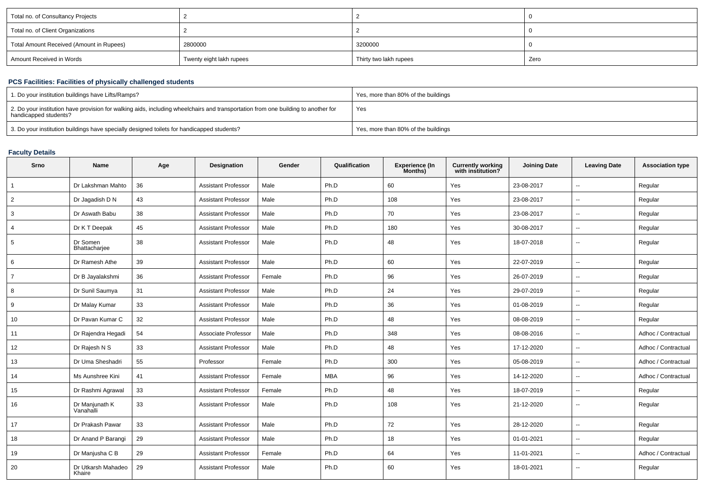| Total no. of Consultancy Projects        |                          |                        |      |
|------------------------------------------|--------------------------|------------------------|------|
| Total no. of Client Organizations        |                          |                        |      |
| Total Amount Received (Amount in Rupees) | 2800000                  | 3200000                |      |
| Amount Received in Words                 | Twenty eight lakh rupees | Thirty two lakh rupees | Zero |

## **PCS Facilities: Facilities of physically challenged students**

| 1. Do your institution buildings have Lifts/Ramps?                                                                                                         | Yes, more than 80% of the buildings |
|------------------------------------------------------------------------------------------------------------------------------------------------------------|-------------------------------------|
| 2. Do your institution have provision for walking aids, including wheelchairs and transportation from one building to another for<br>handicapped students? | Yes                                 |
| 3. Do your institution buildings have specially designed toilets for handicapped students?                                                                 | Yes, more than 80% of the buildings |

### **Faculty Details**

| Srno           | <b>Name</b>                  | Age | Designation                | Gender | Qualification | Experience (In<br>Months) | <b>Currently working</b><br>with institution? | <b>Joining Date</b> | <b>Leaving Date</b>      | <b>Association type</b> |
|----------------|------------------------------|-----|----------------------------|--------|---------------|---------------------------|-----------------------------------------------|---------------------|--------------------------|-------------------------|
|                | Dr Lakshman Mahto            | 36  | <b>Assistant Professor</b> | Male   | Ph.D          | 60                        | Yes                                           | 23-08-2017          | $\overline{\phantom{a}}$ | Regular                 |
| $\overline{2}$ | Dr Jagadish D N              | 43  | <b>Assistant Professor</b> | Male   | Ph.D          | 108                       | Yes                                           | 23-08-2017          | $\sim$                   | Regular                 |
| 3              | Dr Aswath Babu               | 38  | <b>Assistant Professor</b> | Male   | Ph.D          | 70                        | Yes                                           | 23-08-2017          | $\sim$                   | Regular                 |
| 4              | Dr K T Deepak                | 45  | <b>Assistant Professor</b> | Male   | Ph.D          | 180                       | Yes                                           | 30-08-2017          | $\sim$                   | Regular                 |
| 5              | Dr Somen<br>Bhattacharjee    | 38  | <b>Assistant Professor</b> | Male   | Ph.D          | 48                        | Yes                                           | 18-07-2018          | $\sim$                   | Regular                 |
| 6              | Dr Ramesh Athe               | 39  | <b>Assistant Professor</b> | Male   | Ph.D          | 60                        | Yes                                           | 22-07-2019          | $\sim$                   | Regular                 |
| $\overline{7}$ | Dr B Jayalakshmi             | 36  | <b>Assistant Professor</b> | Female | Ph.D          | 96                        | Yes                                           | 26-07-2019          | $\sim$                   | Regular                 |
| 8              | Dr Sunil Saumya              | 31  | <b>Assistant Professor</b> | Male   | Ph.D          | 24                        | Yes                                           | 29-07-2019          | $\sim$                   | Regular                 |
| 9              | Dr Malay Kumar               | 33  | <b>Assistant Professor</b> | Male   | Ph.D          | 36                        | Yes                                           | 01-08-2019          | $\sim$                   | Regular                 |
| 10             | Dr Pavan Kumar C             | 32  | <b>Assistant Professor</b> | Male   | Ph.D          | 48                        | Yes                                           | 08-08-2019          | $\sim$                   | Regular                 |
| 11             | Dr Rajendra Hegadi           | 54  | Associate Professor        | Male   | Ph.D          | 348                       | Yes                                           | 08-08-2016          | $\sim$                   | Adhoc / Contractual     |
| 12             | Dr Rajesh N S                | 33  | <b>Assistant Professor</b> | Male   | Ph.D          | 48                        | Yes                                           | 17-12-2020          | $\sim$                   | Adhoc / Contractual     |
| 13             | Dr Uma Sheshadri             | 55  | Professor                  | Female | Ph.D          | 300                       | Yes                                           | 05-08-2019          | $\sim$                   | Adhoc / Contractual     |
| 14             | Ms Aunshree Kini             | 41  | <b>Assistant Professor</b> | Female | <b>MBA</b>    | 96                        | Yes                                           | 14-12-2020          | $\sim$                   | Adhoc / Contractual     |
| 15             | Dr Rashmi Agrawal            | 33  | <b>Assistant Professor</b> | Female | Ph.D          | 48                        | Yes                                           | 18-07-2019          | $\sim$                   | Regular                 |
| 16             | Dr Manjunath K<br>Vanahalli  | 33  | <b>Assistant Professor</b> | Male   | Ph.D          | 108                       | Yes                                           | 21-12-2020          | $\sim$                   | Regular                 |
| 17             | Dr Prakash Pawar             | 33  | <b>Assistant Professor</b> | Male   | Ph.D          | 72                        | Yes                                           | 28-12-2020          | $\sim$                   | Regular                 |
| 18             | Dr Anand P Barangi           | 29  | <b>Assistant Professor</b> | Male   | Ph.D          | 18                        | Yes                                           | 01-01-2021          | $\sim$                   | Regular                 |
| 19             | Dr Manjusha C B              | 29  | <b>Assistant Professor</b> | Female | Ph.D          | 64                        | Yes                                           | 11-01-2021          | $\sim$                   | Adhoc / Contractual     |
| 20             | Dr Utkarsh Mahadeo<br>Khaire | 29  | <b>Assistant Professor</b> | Male   | Ph.D          | 60                        | Yes                                           | 18-01-2021          | $\overline{\phantom{a}}$ | Regular                 |